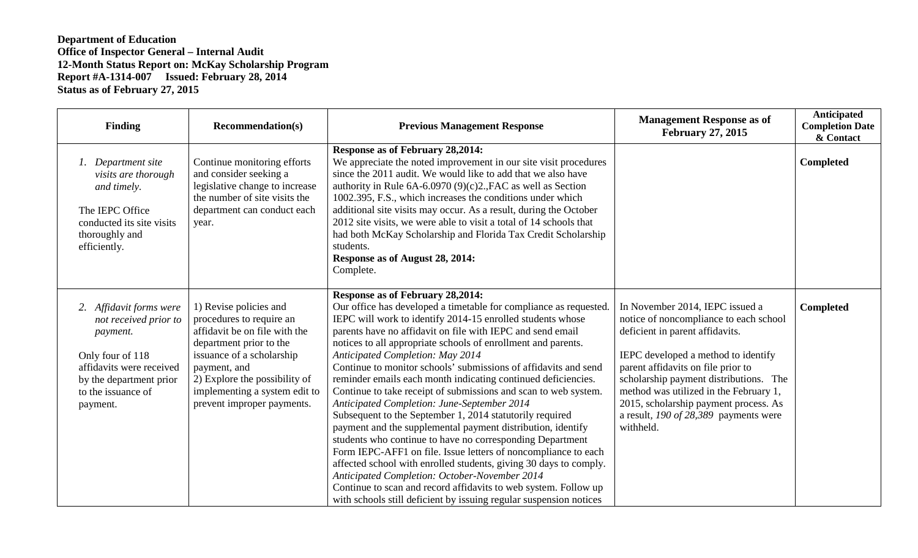| Finding                                                                                                                                                                | <b>Recommendation(s)</b>                                                                                                                                                                                                                                    | <b>Previous Management Response</b>                                                                                                                                                                                                                                                                                                                                                                                                                                                                                                                                                                                                                                                                                                                                                                                                                                                                                                                                                                                                                                                                                                 | <b>Management Response as of</b><br><b>February 27, 2015</b>                                                                                                                                                                                                                                                                                                                   | Anticipated<br><b>Completion Date</b><br>& Contact |
|------------------------------------------------------------------------------------------------------------------------------------------------------------------------|-------------------------------------------------------------------------------------------------------------------------------------------------------------------------------------------------------------------------------------------------------------|-------------------------------------------------------------------------------------------------------------------------------------------------------------------------------------------------------------------------------------------------------------------------------------------------------------------------------------------------------------------------------------------------------------------------------------------------------------------------------------------------------------------------------------------------------------------------------------------------------------------------------------------------------------------------------------------------------------------------------------------------------------------------------------------------------------------------------------------------------------------------------------------------------------------------------------------------------------------------------------------------------------------------------------------------------------------------------------------------------------------------------------|--------------------------------------------------------------------------------------------------------------------------------------------------------------------------------------------------------------------------------------------------------------------------------------------------------------------------------------------------------------------------------|----------------------------------------------------|
| Department site<br>visits are thorough<br>and timely.<br>The IEPC Office<br>conducted its site visits<br>thoroughly and<br>efficiently.                                | Continue monitoring efforts<br>and consider seeking a<br>legislative change to increase<br>the number of site visits the<br>department can conduct each<br>year.                                                                                            | <b>Response as of February 28,2014:</b><br>We appreciate the noted improvement in our site visit procedures<br>since the 2011 audit. We would like to add that we also have<br>authority in Rule $6A-6.0970(9)(c)2$ ., FAC as well as Section<br>1002.395, F.S., which increases the conditions under which<br>additional site visits may occur. As a result, during the October<br>2012 site visits, we were able to visit a total of 14 schools that<br>had both McKay Scholarship and Florida Tax Credit Scholarship<br>students.<br>Response as of August 28, 2014:<br>Complete.                                                                                                                                                                                                                                                                                                                                                                                                                                                                                                                                                |                                                                                                                                                                                                                                                                                                                                                                                | Completed                                          |
| Affidavit forms were<br>not received prior to<br>payment.<br>Only four of 118<br>affidavits were received<br>by the department prior<br>to the issuance of<br>payment. | 1) Revise policies and<br>procedures to require an<br>affidavit be on file with the<br>department prior to the<br>issuance of a scholarship<br>payment, and<br>2) Explore the possibility of<br>implementing a system edit to<br>prevent improper payments. | <b>Response as of February 28,2014:</b><br>Our office has developed a timetable for compliance as requested.<br>IEPC will work to identify 2014-15 enrolled students whose<br>parents have no affidavit on file with IEPC and send email<br>notices to all appropriate schools of enrollment and parents.<br><b>Anticipated Completion: May 2014</b><br>Continue to monitor schools' submissions of affidavits and send<br>reminder emails each month indicating continued deficiencies.<br>Continue to take receipt of submissions and scan to web system.<br>Anticipated Completion: June-September 2014<br>Subsequent to the September 1, 2014 statutorily required<br>payment and the supplemental payment distribution, identify<br>students who continue to have no corresponding Department<br>Form IEPC-AFF1 on file. Issue letters of noncompliance to each<br>affected school with enrolled students, giving 30 days to comply.<br>Anticipated Completion: October-November 2014<br>Continue to scan and record affidavits to web system. Follow up<br>with schools still deficient by issuing regular suspension notices | In November 2014, IEPC issued a<br>notice of noncompliance to each school<br>deficient in parent affidavits.<br>IEPC developed a method to identify<br>parent affidavits on file prior to<br>scholarship payment distributions. The<br>method was utilized in the February 1,<br>2015, scholarship payment process. As<br>a result, $190$ of 28,389 payments were<br>withheld. | <b>Completed</b>                                   |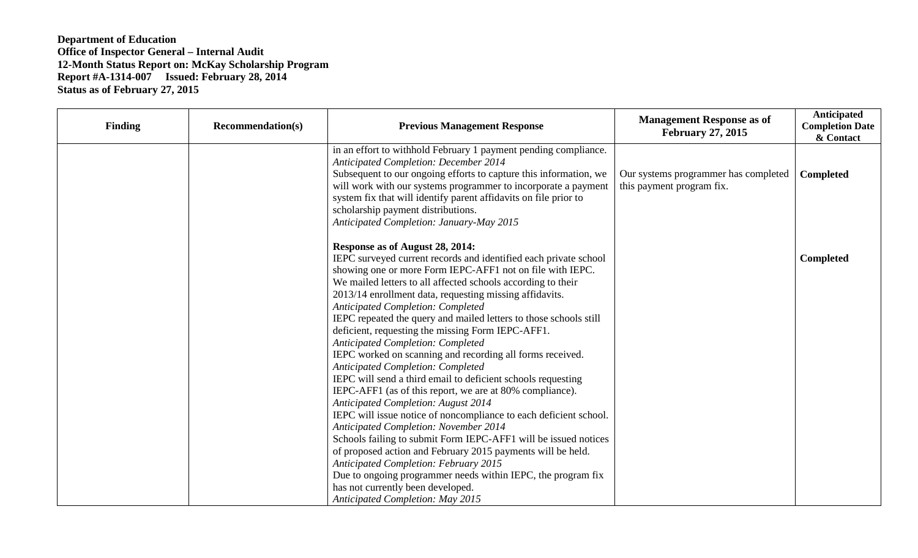| <b>Finding</b> | <b>Recommendation(s)</b> | <b>Previous Management Response</b>                                                                                                                                                                                                                                                                                                                                                                                                                                                                                                                                                                                                                                                                                                                                                                                                                                                                                                                                                                                                                                                                                                                              | <b>Management Response as of</b><br><b>February 27, 2015</b>      | Anticipated<br><b>Completion Date</b><br>& Contact |
|----------------|--------------------------|------------------------------------------------------------------------------------------------------------------------------------------------------------------------------------------------------------------------------------------------------------------------------------------------------------------------------------------------------------------------------------------------------------------------------------------------------------------------------------------------------------------------------------------------------------------------------------------------------------------------------------------------------------------------------------------------------------------------------------------------------------------------------------------------------------------------------------------------------------------------------------------------------------------------------------------------------------------------------------------------------------------------------------------------------------------------------------------------------------------------------------------------------------------|-------------------------------------------------------------------|----------------------------------------------------|
|                |                          | in an effort to withhold February 1 payment pending compliance.<br><b>Anticipated Completion: December 2014</b><br>Subsequent to our ongoing efforts to capture this information, we<br>will work with our systems programmer to incorporate a payment<br>system fix that will identify parent affidavits on file prior to<br>scholarship payment distributions.<br>Anticipated Completion: January-May 2015                                                                                                                                                                                                                                                                                                                                                                                                                                                                                                                                                                                                                                                                                                                                                     | Our systems programmer has completed<br>this payment program fix. | <b>Completed</b>                                   |
|                |                          | Response as of August 28, 2014:<br>IEPC surveyed current records and identified each private school<br>showing one or more Form IEPC-AFF1 not on file with IEPC.<br>We mailed letters to all affected schools according to their<br>2013/14 enrollment data, requesting missing affidavits.<br><b>Anticipated Completion: Completed</b><br>IEPC repeated the query and mailed letters to those schools still<br>deficient, requesting the missing Form IEPC-AFF1.<br><b>Anticipated Completion: Completed</b><br>IEPC worked on scanning and recording all forms received.<br>Anticipated Completion: Completed<br>IEPC will send a third email to deficient schools requesting<br>IEPC-AFF1 (as of this report, we are at 80% compliance).<br><b>Anticipated Completion: August 2014</b><br>IEPC will issue notice of noncompliance to each deficient school.<br><b>Anticipated Completion: November 2014</b><br>Schools failing to submit Form IEPC-AFF1 will be issued notices<br>of proposed action and February 2015 payments will be held.<br><b>Anticipated Completion: February 2015</b><br>Due to ongoing programmer needs within IEPC, the program fix |                                                                   | <b>Completed</b>                                   |
|                |                          | has not currently been developed.<br><b>Anticipated Completion: May 2015</b>                                                                                                                                                                                                                                                                                                                                                                                                                                                                                                                                                                                                                                                                                                                                                                                                                                                                                                                                                                                                                                                                                     |                                                                   |                                                    |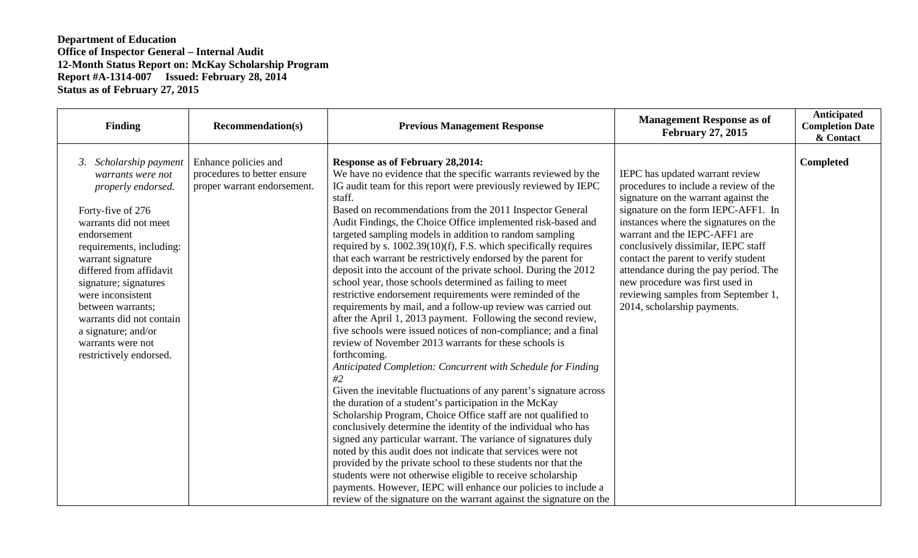| <b>Finding</b>                                                                                                                                                                                                                                                                                                                                                                   | <b>Recommendation(s)</b>                                                           | <b>Previous Management Response</b>                                                                                                                                                                                                                                                                                                                                                                                                                                                                                                                                                                                                                                                                                                                                                                                                                                                                                                                                                                                                                                                                                                                                                                                                                                                                                                                                                                                                                                                                                                                                                                                                                                                                                                             | <b>Management Response as of</b><br><b>February 27, 2015</b>                                                                                                                                                                                                                                                                                                                                                                                                       | Anticipated<br><b>Completion Date</b><br>& Contact |
|----------------------------------------------------------------------------------------------------------------------------------------------------------------------------------------------------------------------------------------------------------------------------------------------------------------------------------------------------------------------------------|------------------------------------------------------------------------------------|-------------------------------------------------------------------------------------------------------------------------------------------------------------------------------------------------------------------------------------------------------------------------------------------------------------------------------------------------------------------------------------------------------------------------------------------------------------------------------------------------------------------------------------------------------------------------------------------------------------------------------------------------------------------------------------------------------------------------------------------------------------------------------------------------------------------------------------------------------------------------------------------------------------------------------------------------------------------------------------------------------------------------------------------------------------------------------------------------------------------------------------------------------------------------------------------------------------------------------------------------------------------------------------------------------------------------------------------------------------------------------------------------------------------------------------------------------------------------------------------------------------------------------------------------------------------------------------------------------------------------------------------------------------------------------------------------------------------------------------------------|--------------------------------------------------------------------------------------------------------------------------------------------------------------------------------------------------------------------------------------------------------------------------------------------------------------------------------------------------------------------------------------------------------------------------------------------------------------------|----------------------------------------------------|
| 3. Scholarship payment<br>warrants were not<br>properly endorsed.<br>Forty-five of 276<br>warrants did not meet<br>endorsement<br>requirements, including:<br>warrant signature<br>differed from affidavit<br>signature; signatures<br>were inconsistent<br>between warrants;<br>warrants did not contain<br>a signature; and/or<br>warrants were not<br>restrictively endorsed. | Enhance policies and<br>procedures to better ensure<br>proper warrant endorsement. | <b>Response as of February 28,2014:</b><br>We have no evidence that the specific warrants reviewed by the<br>IG audit team for this report were previously reviewed by IEPC<br>staff.<br>Based on recommendations from the 2011 Inspector General<br>Audit Findings, the Choice Office implemented risk-based and<br>targeted sampling models in addition to random sampling<br>required by s. $1002.39(10)(f)$ , F.S. which specifically requires<br>that each warrant be restrictively endorsed by the parent for<br>deposit into the account of the private school. During the 2012<br>school year, those schools determined as failing to meet<br>restrictive endorsement requirements were reminded of the<br>requirements by mail, and a follow-up review was carried out<br>after the April 1, 2013 payment. Following the second review,<br>five schools were issued notices of non-compliance; and a final<br>review of November 2013 warrants for these schools is<br>forthcoming.<br>Anticipated Completion: Concurrent with Schedule for Finding<br>#2<br>Given the inevitable fluctuations of any parent's signature across<br>the duration of a student's participation in the McKay<br>Scholarship Program, Choice Office staff are not qualified to<br>conclusively determine the identity of the individual who has<br>signed any particular warrant. The variance of signatures duly<br>noted by this audit does not indicate that services were not<br>provided by the private school to these students nor that the<br>students were not otherwise eligible to receive scholarship<br>payments. However, IEPC will enhance our policies to include a<br>review of the signature on the warrant against the signature on the | IEPC has updated warrant review<br>procedures to include a review of the<br>signature on the warrant against the<br>signature on the form IEPC-AFF1. In<br>instances where the signatures on the<br>warrant and the IEPC-AFF1 are<br>conclusively dissimilar, IEPC staff<br>contact the parent to verify student<br>attendance during the pay period. The<br>new procedure was first used in<br>reviewing samples from September 1,<br>2014, scholarship payments. | Completed                                          |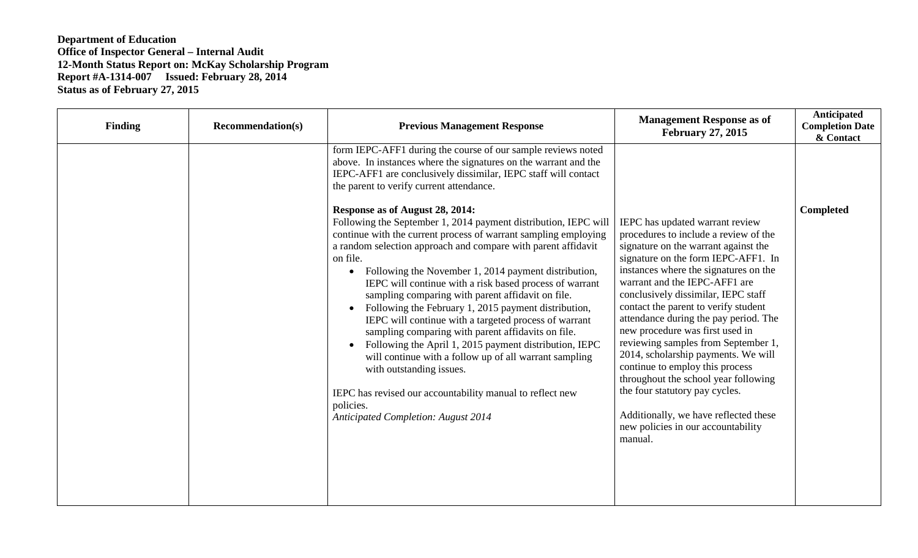| <b>Finding</b> | <b>Recommendation(s)</b> | <b>Previous Management Response</b>                                                                                                                                                                                                                                                                                                                                                                                                                                                                                                                                                                                                                                                                                                                                                                                                                                          | <b>Management Response as of</b><br><b>February 27, 2015</b>                                                                                                                                                                                                                                                                                                                                 | Anticipated<br><b>Completion Date</b><br>& Contact |
|----------------|--------------------------|------------------------------------------------------------------------------------------------------------------------------------------------------------------------------------------------------------------------------------------------------------------------------------------------------------------------------------------------------------------------------------------------------------------------------------------------------------------------------------------------------------------------------------------------------------------------------------------------------------------------------------------------------------------------------------------------------------------------------------------------------------------------------------------------------------------------------------------------------------------------------|----------------------------------------------------------------------------------------------------------------------------------------------------------------------------------------------------------------------------------------------------------------------------------------------------------------------------------------------------------------------------------------------|----------------------------------------------------|
|                |                          | form IEPC-AFF1 during the course of our sample reviews noted<br>above. In instances where the signatures on the warrant and the<br>IEPC-AFF1 are conclusively dissimilar, IEPC staff will contact<br>the parent to verify current attendance.<br>Response as of August 28, 2014:<br>Following the September 1, 2014 payment distribution, IEPC will<br>continue with the current process of warrant sampling employing<br>a random selection approach and compare with parent affidavit<br>on file.<br>Following the November 1, 2014 payment distribution,<br>$\bullet$<br>IEPC will continue with a risk based process of warrant<br>sampling comparing with parent affidavit on file.<br>Following the February 1, 2015 payment distribution,<br>$\bullet$<br>IEPC will continue with a targeted process of warrant<br>sampling comparing with parent affidavits on file. | IEPC has updated warrant review<br>procedures to include a review of the<br>signature on the warrant against the<br>signature on the form IEPC-AFF1. In<br>instances where the signatures on the<br>warrant and the IEPC-AFF1 are<br>conclusively dissimilar, IEPC staff<br>contact the parent to verify student<br>attendance during the pay period. The<br>new procedure was first used in | Completed                                          |
|                |                          | Following the April 1, 2015 payment distribution, IEPC<br>$\bullet$<br>will continue with a follow up of all warrant sampling<br>with outstanding issues.<br>IEPC has revised our accountability manual to reflect new<br>policies.<br><b>Anticipated Completion: August 2014</b>                                                                                                                                                                                                                                                                                                                                                                                                                                                                                                                                                                                            | reviewing samples from September 1,<br>2014, scholarship payments. We will<br>continue to employ this process<br>throughout the school year following<br>the four statutory pay cycles.<br>Additionally, we have reflected these<br>new policies in our accountability<br>manual.                                                                                                            |                                                    |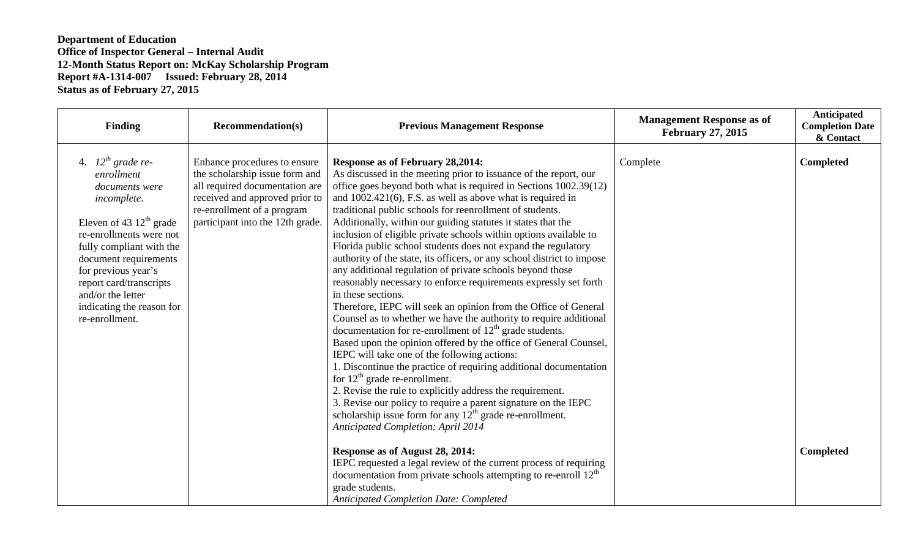| <b>Finding</b>                                                                                                                                                                                                                                                                                           | <b>Recommendation(s)</b>                                                                                                                                                                             | <b>Previous Management Response</b>                                                                                                                                                                                                                                                                                                                                                                                                                                                                                                                                                                                                                                                                                                                                                                                                                                                                                                                                                                                                                                                                                                                                                                                                                                                                                                                                               | <b>Management Response as of</b><br><b>February 27, 2015</b> | <b>Anticipated</b><br><b>Completion Date</b><br>& Contact |
|----------------------------------------------------------------------------------------------------------------------------------------------------------------------------------------------------------------------------------------------------------------------------------------------------------|------------------------------------------------------------------------------------------------------------------------------------------------------------------------------------------------------|-----------------------------------------------------------------------------------------------------------------------------------------------------------------------------------------------------------------------------------------------------------------------------------------------------------------------------------------------------------------------------------------------------------------------------------------------------------------------------------------------------------------------------------------------------------------------------------------------------------------------------------------------------------------------------------------------------------------------------------------------------------------------------------------------------------------------------------------------------------------------------------------------------------------------------------------------------------------------------------------------------------------------------------------------------------------------------------------------------------------------------------------------------------------------------------------------------------------------------------------------------------------------------------------------------------------------------------------------------------------------------------|--------------------------------------------------------------|-----------------------------------------------------------|
| 4. $12^{th}$ grade re-<br>enrollment<br>documents were<br>incomplete.<br>Eleven of 43 $12th$ grade<br>re-enrollments were not<br>fully compliant with the<br>document requirements<br>for previous year's<br>report card/transcripts<br>and/or the letter<br>indicating the reason for<br>re-enrollment. | Enhance procedures to ensure<br>the scholarship issue form and<br>all required documentation are<br>received and approved prior to<br>re-enrollment of a program<br>participant into the 12th grade. | <b>Response as of February 28,2014:</b><br>As discussed in the meeting prior to issuance of the report, our<br>office goes beyond both what is required in Sections 1002.39(12)<br>and $1002.421(6)$ , F.S. as well as above what is required in<br>traditional public schools for reenrollment of students.<br>Additionally, within our guiding statutes it states that the<br>inclusion of eligible private schools within options available to<br>Florida public school students does not expand the regulatory<br>authority of the state, its officers, or any school district to impose<br>any additional regulation of private schools beyond those<br>reasonably necessary to enforce requirements expressly set forth<br>in these sections.<br>Therefore, IEPC will seek an opinion from the Office of General<br>Counsel as to whether we have the authority to require additional<br>documentation for re-enrollment of $12th$ grade students.<br>Based upon the opinion offered by the office of General Counsel,<br>IEPC will take one of the following actions:<br>1. Discontinue the practice of requiring additional documentation<br>for $12th$ grade re-enrollment.<br>2. Revise the rule to explicitly address the requirement.<br>3. Revise our policy to require a parent signature on the IEPC<br>scholarship issue form for any $12th$ grade re-enrollment. | Complete                                                     | Completed                                                 |
|                                                                                                                                                                                                                                                                                                          |                                                                                                                                                                                                      | <b>Anticipated Completion: April 2014</b><br>Response as of August 28, 2014:<br>IEPC requested a legal review of the current process of requiring<br>documentation from private schools attempting to re-enroll $12th$<br>grade students.<br><b>Anticipated Completion Date: Completed</b>                                                                                                                                                                                                                                                                                                                                                                                                                                                                                                                                                                                                                                                                                                                                                                                                                                                                                                                                                                                                                                                                                        |                                                              | <b>Completed</b>                                          |